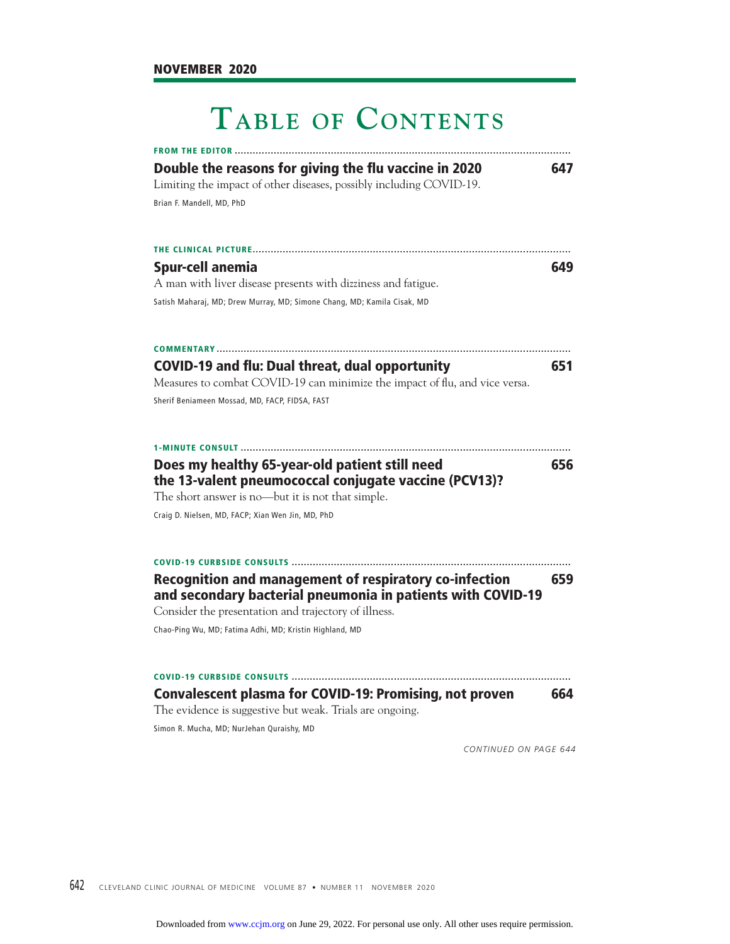## **TABLE OF CONTENTS**

| <b>FROM THE EDITOR</b>                                                                                                       |     |
|------------------------------------------------------------------------------------------------------------------------------|-----|
| Double the reasons for giving the flu vaccine in 2020                                                                        | 647 |
| Limiting the impact of other diseases, possibly including COVID-19.                                                          |     |
| Brian F. Mandell, MD, PhD                                                                                                    |     |
| THE CLINICAL PICTURE                                                                                                         |     |
| <b>Spur-cell anemia</b>                                                                                                      | 649 |
| A man with liver disease presents with dizziness and fatigue.                                                                |     |
| Satish Maharaj, MD; Drew Murray, MD; Simone Chang, MD; Kamila Cisak, MD                                                      |     |
| <b>COMMENTARY</b>                                                                                                            |     |
| <b>COVID-19 and flu: Dual threat, dual opportunity</b>                                                                       | 651 |
| Measures to combat COVID-19 can minimize the impact of flu, and vice versa.                                                  |     |
| Sherif Beniameen Mossad, MD, FACP, FIDSA, FAST                                                                               |     |
| <b>1-MINUTE CONSULT </b>                                                                                                     |     |
| Does my healthy 65-year-old patient still need                                                                               | 656 |
| the 13-valent pneumococcal conjugate vaccine (PCV13)?                                                                        |     |
| The short answer is no-but it is not that simple.                                                                            |     |
| Craig D. Nielsen, MD, FACP; Xian Wen Jin, MD, PhD                                                                            |     |
| <b>COVID-19 CURBSIDE CONSULTS </b>                                                                                           |     |
| <b>Recognition and management of respiratory co-infection</b><br>and secondary bacterial pneumonia in patients with COVID-19 | 659 |
| Consider the presentation and trajectory of illness.                                                                         |     |
| Chao-Ping Wu, MD; Fatima Adhi, MD; Kristin Highland, MD                                                                      |     |
| <b>COVID-19 CURBSIDE CONSULTS.</b>                                                                                           |     |
| <b>Convalescent plasma for COVID-19: Promising, not proven</b>                                                               | 664 |
| The evidence is suggestive but weak. Trials are ongoing.                                                                     |     |
| Simon R. Mucha, MD; NurJehan Quraishy, MD                                                                                    |     |
|                                                                                                                              |     |

*CONTINUED ON PAGE 644*